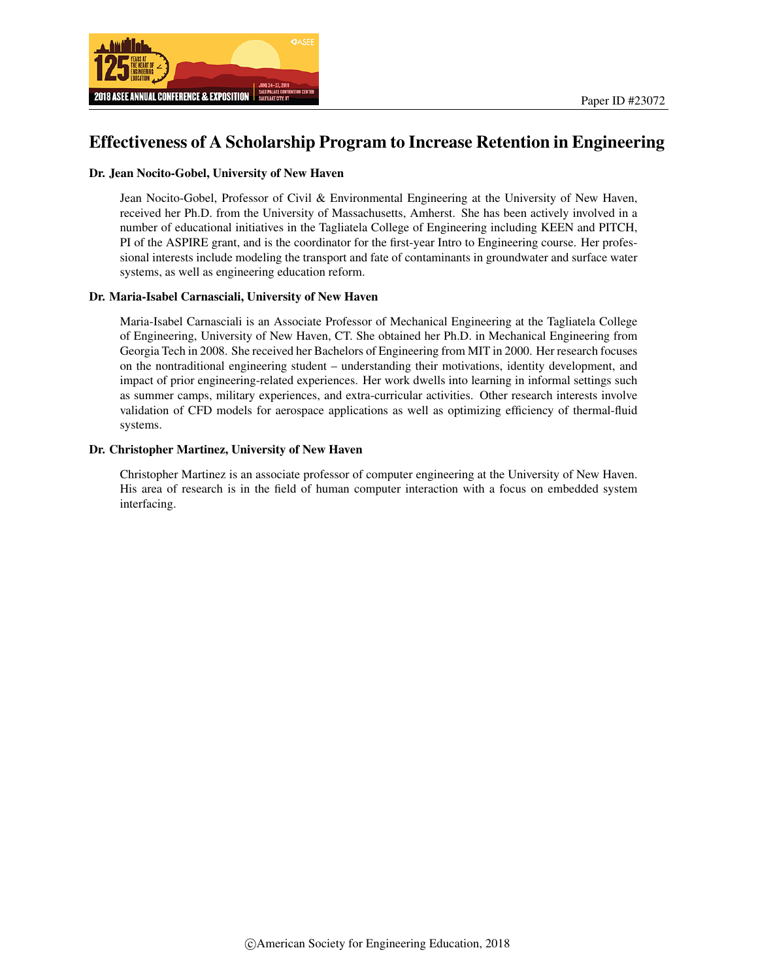

# Effectiveness of A Scholarship Program to Increase Retention in Engineering

#### Dr. Jean Nocito-Gobel, University of New Haven

Jean Nocito-Gobel, Professor of Civil & Environmental Engineering at the University of New Haven, received her Ph.D. from the University of Massachusetts, Amherst. She has been actively involved in a number of educational initiatives in the Tagliatela College of Engineering including KEEN and PITCH, PI of the ASPIRE grant, and is the coordinator for the first-year Intro to Engineering course. Her professional interests include modeling the transport and fate of contaminants in groundwater and surface water systems, as well as engineering education reform.

#### Dr. Maria-Isabel Carnasciali, University of New Haven

Maria-Isabel Carnasciali is an Associate Professor of Mechanical Engineering at the Tagliatela College of Engineering, University of New Haven, CT. She obtained her Ph.D. in Mechanical Engineering from Georgia Tech in 2008. She received her Bachelors of Engineering from MIT in 2000. Her research focuses on the nontraditional engineering student – understanding their motivations, identity development, and impact of prior engineering-related experiences. Her work dwells into learning in informal settings such as summer camps, military experiences, and extra-curricular activities. Other research interests involve validation of CFD models for aerospace applications as well as optimizing efficiency of thermal-fluid systems.

#### Dr. Christopher Martinez, University of New Haven

Christopher Martinez is an associate professor of computer engineering at the University of New Haven. His area of research is in the field of human computer interaction with a focus on embedded system interfacing.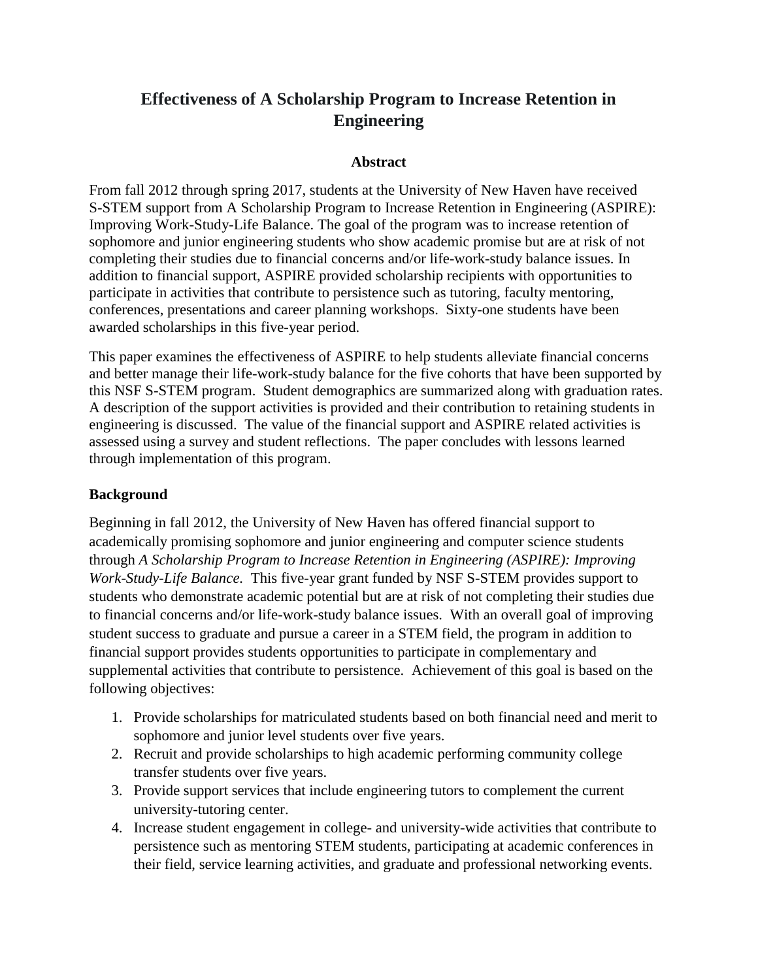# **Effectiveness of A Scholarship Program to Increase Retention in Engineering**

#### **Abstract**

From fall 2012 through spring 2017, students at the University of New Haven have received S-STEM support from A Scholarship Program to Increase Retention in Engineering (ASPIRE): Improving Work-Study-Life Balance. The goal of the program was to increase retention of sophomore and junior engineering students who show academic promise but are at risk of not completing their studies due to financial concerns and/or life-work-study balance issues. In addition to financial support, ASPIRE provided scholarship recipients with opportunities to participate in activities that contribute to persistence such as tutoring, faculty mentoring, conferences, presentations and career planning workshops. Sixty-one students have been awarded scholarships in this five-year period.

This paper examines the effectiveness of ASPIRE to help students alleviate financial concerns and better manage their life-work-study balance for the five cohorts that have been supported by this NSF S-STEM program. Student demographics are summarized along with graduation rates. A description of the support activities is provided and their contribution to retaining students in engineering is discussed. The value of the financial support and ASPIRE related activities is assessed using a survey and student reflections. The paper concludes with lessons learned through implementation of this program.

#### **Background**

Beginning in fall 2012, the University of New Haven has offered financial support to academically promising sophomore and junior engineering and computer science students through *A Scholarship Program to Increase Retention in Engineering (ASPIRE): Improving Work-Study-Life Balance.* This five-year grant funded by NSF S-STEM provides support to students who demonstrate academic potential but are at risk of not completing their studies due to financial concerns and/or life-work-study balance issues. With an overall goal of improving student success to graduate and pursue a career in a STEM field, the program in addition to financial support provides students opportunities to participate in complementary and supplemental activities that contribute to persistence. Achievement of this goal is based on the following objectives:

- 1. Provide scholarships for matriculated students based on both financial need and merit to sophomore and junior level students over five years.
- 2. Recruit and provide scholarships to high academic performing community college transfer students over five years.
- 3. Provide support services that include engineering tutors to complement the current university-tutoring center.
- 4. Increase student engagement in college- and university-wide activities that contribute to persistence such as mentoring STEM students, participating at academic conferences in their field, service learning activities, and graduate and professional networking events.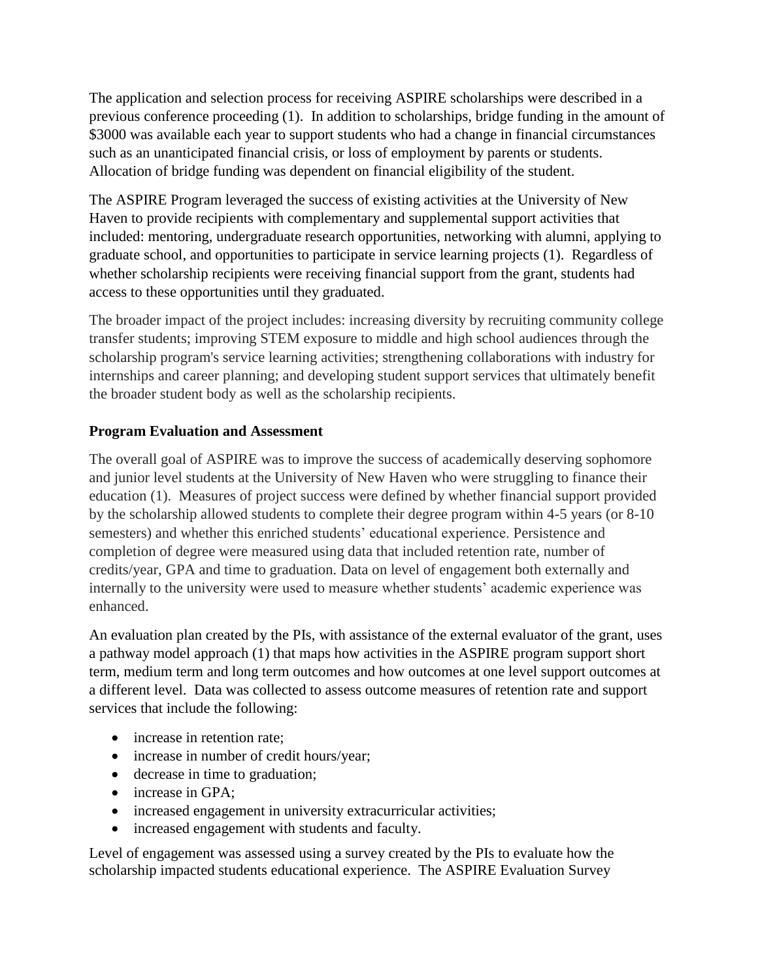The application and selection process for receiving ASPIRE scholarships were described in a previous conference proceeding (1). In addition to scholarships, bridge funding in the amount of \$3000 was available each year to support students who had a change in financial circumstances such as an unanticipated financial crisis, or loss of employment by parents or students. Allocation of bridge funding was dependent on financial eligibility of the student.

The ASPIRE Program leveraged the success of existing activities at the University of New Haven to provide recipients with complementary and supplemental support activities that included: mentoring, undergraduate research opportunities, networking with alumni, applying to graduate school, and opportunities to participate in service learning projects (1). Regardless of whether scholarship recipients were receiving financial support from the grant, students had access to these opportunities until they graduated.

The broader impact of the project includes: increasing diversity by recruiting community college transfer students; improving STEM exposure to middle and high school audiences through the scholarship program's service learning activities; strengthening collaborations with industry for internships and career planning; and developing student support services that ultimately benefit the broader student body as well as the scholarship recipients.

# **Program Evaluation and Assessment**

The overall goal of ASPIRE was to improve the success of academically deserving sophomore and junior level students at the University of New Haven who were struggling to finance their education (1). Measures of project success were defined by whether financial support provided by the scholarship allowed students to complete their degree program within 4-5 years (or 8-10 semesters) and whether this enriched students' educational experience. Persistence and completion of degree were measured using data that included retention rate, number of credits/year, GPA and time to graduation. Data on level of engagement both externally and internally to the university were used to measure whether students' academic experience was enhanced.

An evaluation plan created by the PIs, with assistance of the external evaluator of the grant, uses a pathway model approach (1) that maps how activities in the ASPIRE program support short term, medium term and long term outcomes and how outcomes at one level support outcomes at a different level. Data was collected to assess outcome measures of retention rate and support services that include the following:

- increase in retention rate:
- increase in number of credit hours/year;
- decrease in time to graduation;
- increase in GPA:
- increased engagement in university extracurricular activities;
- increased engagement with students and faculty.

Level of engagement was assessed using a survey created by the PIs to evaluate how the scholarship impacted students educational experience. The ASPIRE Evaluation Survey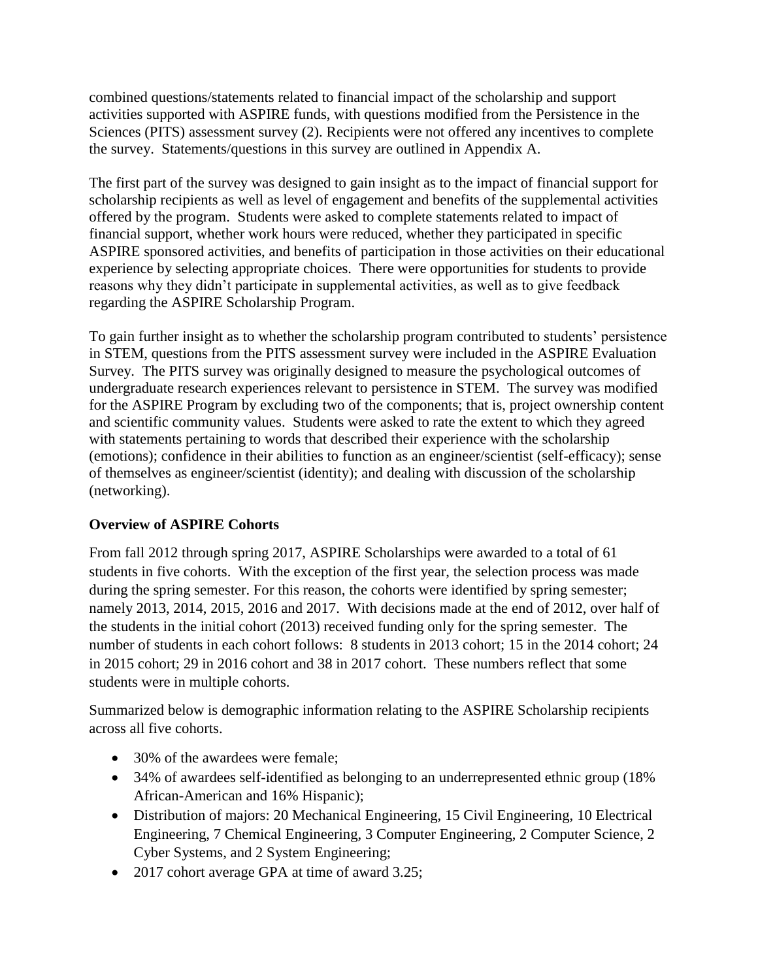combined questions/statements related to financial impact of the scholarship and support activities supported with ASPIRE funds, with questions modified from the Persistence in the Sciences (PITS) assessment survey (2). Recipients were not offered any incentives to complete the survey. Statements/questions in this survey are outlined in Appendix A.

The first part of the survey was designed to gain insight as to the impact of financial support for scholarship recipients as well as level of engagement and benefits of the supplemental activities offered by the program. Students were asked to complete statements related to impact of financial support, whether work hours were reduced, whether they participated in specific ASPIRE sponsored activities, and benefits of participation in those activities on their educational experience by selecting appropriate choices. There were opportunities for students to provide reasons why they didn't participate in supplemental activities, as well as to give feedback regarding the ASPIRE Scholarship Program.

To gain further insight as to whether the scholarship program contributed to students' persistence in STEM, questions from the PITS assessment survey were included in the ASPIRE Evaluation Survey. The PITS survey was originally designed to measure the psychological outcomes of undergraduate research experiences relevant to persistence in STEM. The survey was modified for the ASPIRE Program by excluding two of the components; that is, project ownership content and scientific community values. Students were asked to rate the extent to which they agreed with statements pertaining to words that described their experience with the scholarship (emotions); confidence in their abilities to function as an engineer/scientist (self-efficacy); sense of themselves as engineer/scientist (identity); and dealing with discussion of the scholarship (networking).

### **Overview of ASPIRE Cohorts**

From fall 2012 through spring 2017, ASPIRE Scholarships were awarded to a total of 61 students in five cohorts. With the exception of the first year, the selection process was made during the spring semester. For this reason, the cohorts were identified by spring semester; namely 2013, 2014, 2015, 2016 and 2017. With decisions made at the end of 2012, over half of the students in the initial cohort (2013) received funding only for the spring semester. The number of students in each cohort follows: 8 students in 2013 cohort; 15 in the 2014 cohort; 24 in 2015 cohort; 29 in 2016 cohort and 38 in 2017 cohort. These numbers reflect that some students were in multiple cohorts.

Summarized below is demographic information relating to the ASPIRE Scholarship recipients across all five cohorts.

- 30% of the awardees were female:
- 34% of awardees self-identified as belonging to an underrepresented ethnic group (18% African-American and 16% Hispanic);
- Distribution of majors: 20 Mechanical Engineering, 15 Civil Engineering, 10 Electrical Engineering, 7 Chemical Engineering, 3 Computer Engineering, 2 Computer Science, 2 Cyber Systems, and 2 System Engineering;
- 2017 cohort average GPA at time of award 3.25;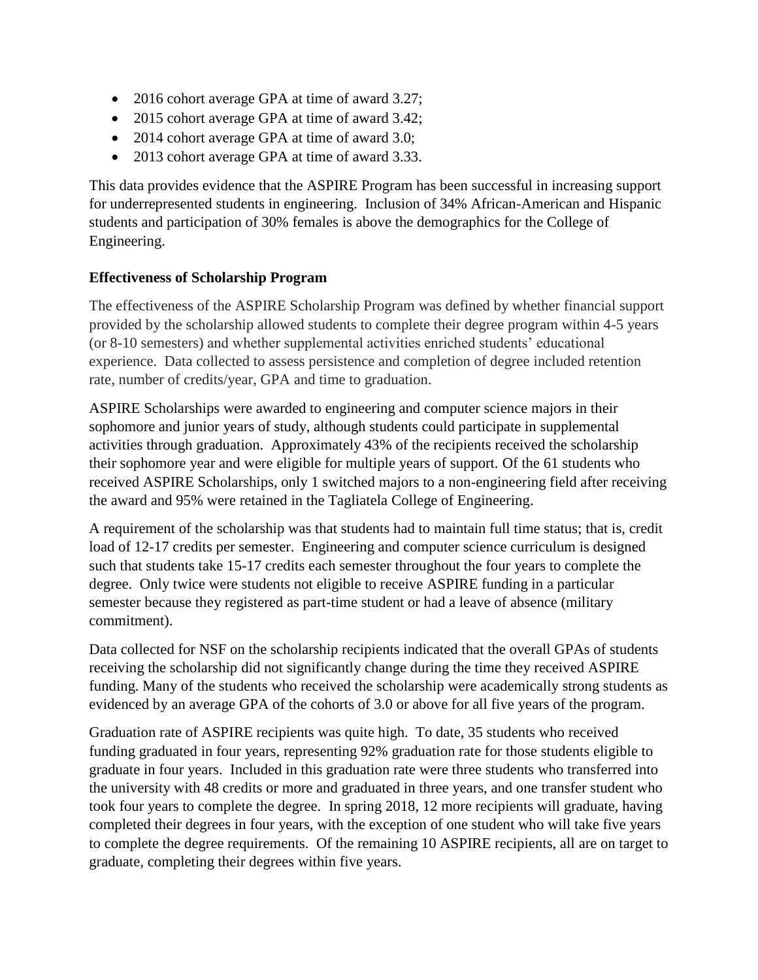- 2016 cohort average GPA at time of award 3.27;
- 2015 cohort average GPA at time of award 3.42;
- 2014 cohort average GPA at time of award 3.0;
- 2013 cohort average GPA at time of award 3.33.

This data provides evidence that the ASPIRE Program has been successful in increasing support for underrepresented students in engineering. Inclusion of 34% African-American and Hispanic students and participation of 30% females is above the demographics for the College of Engineering.

### **Effectiveness of Scholarship Program**

The effectiveness of the ASPIRE Scholarship Program was defined by whether financial support provided by the scholarship allowed students to complete their degree program within 4-5 years (or 8-10 semesters) and whether supplemental activities enriched students' educational experience. Data collected to assess persistence and completion of degree included retention rate, number of credits/year, GPA and time to graduation.

ASPIRE Scholarships were awarded to engineering and computer science majors in their sophomore and junior years of study, although students could participate in supplemental activities through graduation. Approximately 43% of the recipients received the scholarship their sophomore year and were eligible for multiple years of support. Of the 61 students who received ASPIRE Scholarships, only 1 switched majors to a non-engineering field after receiving the award and 95% were retained in the Tagliatela College of Engineering.

A requirement of the scholarship was that students had to maintain full time status; that is, credit load of 12-17 credits per semester. Engineering and computer science curriculum is designed such that students take 15-17 credits each semester throughout the four years to complete the degree. Only twice were students not eligible to receive ASPIRE funding in a particular semester because they registered as part-time student or had a leave of absence (military commitment).

Data collected for NSF on the scholarship recipients indicated that the overall GPAs of students receiving the scholarship did not significantly change during the time they received ASPIRE funding. Many of the students who received the scholarship were academically strong students as evidenced by an average GPA of the cohorts of 3.0 or above for all five years of the program.

Graduation rate of ASPIRE recipients was quite high. To date, 35 students who received funding graduated in four years, representing 92% graduation rate for those students eligible to graduate in four years. Included in this graduation rate were three students who transferred into the university with 48 credits or more and graduated in three years, and one transfer student who took four years to complete the degree. In spring 2018, 12 more recipients will graduate, having completed their degrees in four years, with the exception of one student who will take five years to complete the degree requirements. Of the remaining 10 ASPIRE recipients, all are on target to graduate, completing their degrees within five years.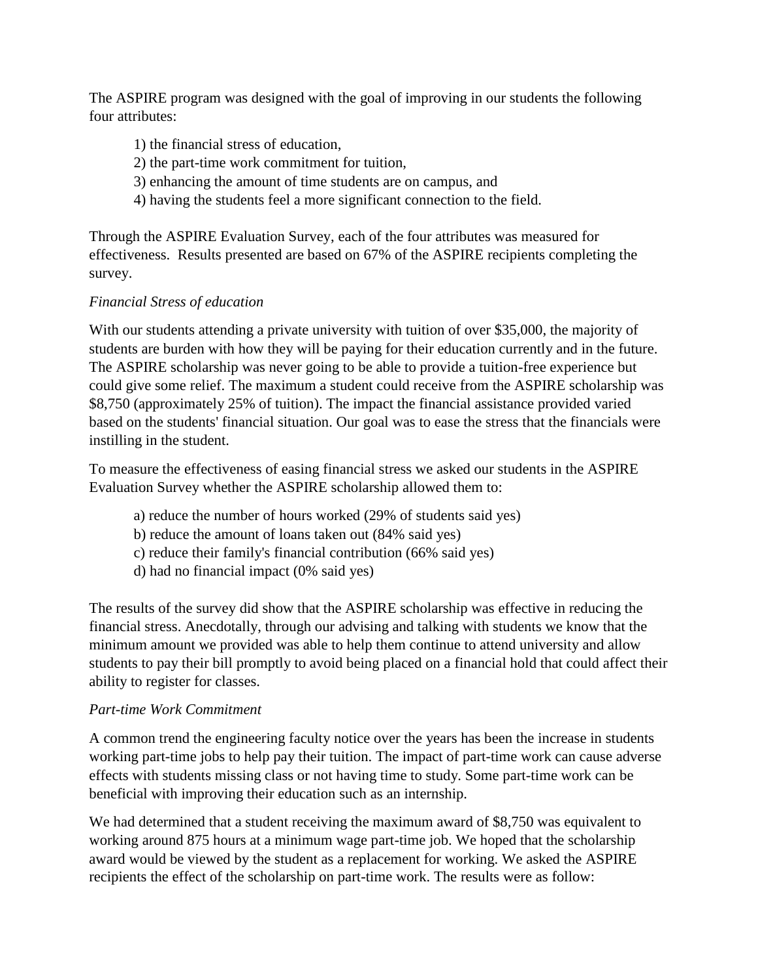The ASPIRE program was designed with the goal of improving in our students the following four attributes:

- 1) the financial stress of education,
- 2) the part-time work commitment for tuition,
- 3) enhancing the amount of time students are on campus, and
- 4) having the students feel a more significant connection to the field.

Through the ASPIRE Evaluation Survey, each of the four attributes was measured for effectiveness. Results presented are based on 67% of the ASPIRE recipients completing the survey.

# *Financial Stress of education*

With our students attending a private university with tuition of over \$35,000, the majority of students are burden with how they will be paying for their education currently and in the future. The ASPIRE scholarship was never going to be able to provide a tuition-free experience but could give some relief. The maximum a student could receive from the ASPIRE scholarship was \$8,750 (approximately 25% of tuition). The impact the financial assistance provided varied based on the students' financial situation. Our goal was to ease the stress that the financials were instilling in the student.

To measure the effectiveness of easing financial stress we asked our students in the ASPIRE Evaluation Survey whether the ASPIRE scholarship allowed them to:

- a) reduce the number of hours worked (29% of students said yes)
- b) reduce the amount of loans taken out (84% said yes)
- c) reduce their family's financial contribution (66% said yes)
- d) had no financial impact (0% said yes)

The results of the survey did show that the ASPIRE scholarship was effective in reducing the financial stress. Anecdotally, through our advising and talking with students we know that the minimum amount we provided was able to help them continue to attend university and allow students to pay their bill promptly to avoid being placed on a financial hold that could affect their ability to register for classes.

### *Part-time Work Commitment*

A common trend the engineering faculty notice over the years has been the increase in students working part-time jobs to help pay their tuition. The impact of part-time work can cause adverse effects with students missing class or not having time to study. Some part-time work can be beneficial with improving their education such as an internship.

We had determined that a student receiving the maximum award of \$8,750 was equivalent to working around 875 hours at a minimum wage part-time job. We hoped that the scholarship award would be viewed by the student as a replacement for working. We asked the ASPIRE recipients the effect of the scholarship on part-time work. The results were as follow: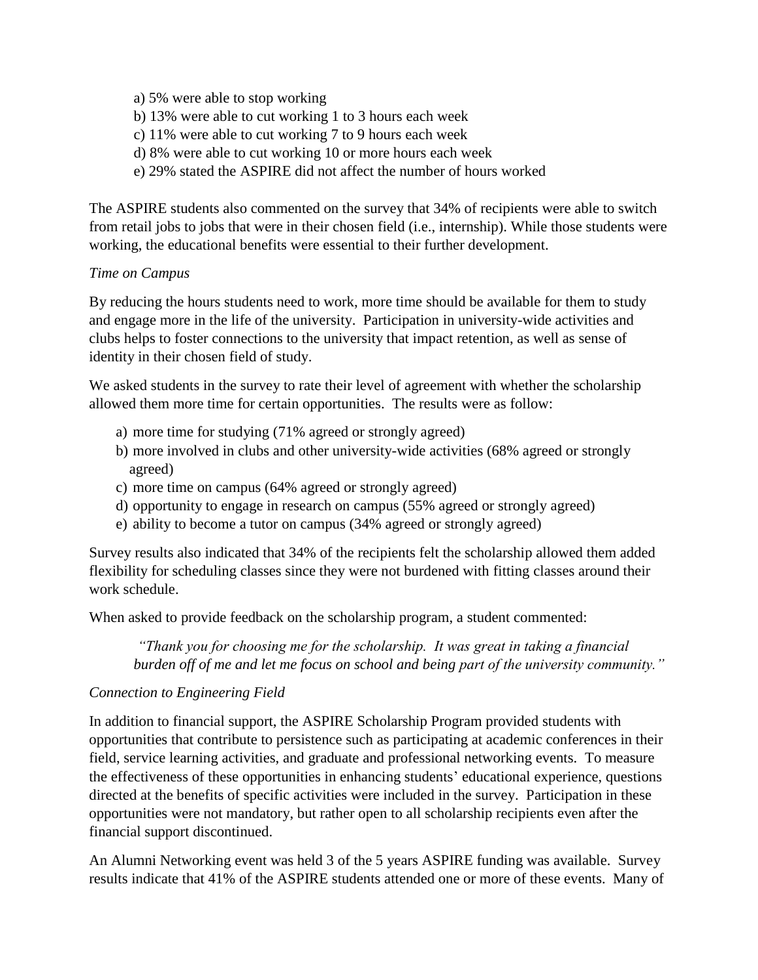- a) 5% were able to stop working
- b) 13% were able to cut working 1 to 3 hours each week
- c) 11% were able to cut working 7 to 9 hours each week
- d) 8% were able to cut working 10 or more hours each week
- e) 29% stated the ASPIRE did not affect the number of hours worked

The ASPIRE students also commented on the survey that 34% of recipients were able to switch from retail jobs to jobs that were in their chosen field (i.e., internship). While those students were working, the educational benefits were essential to their further development.

### *Time on Campus*

By reducing the hours students need to work, more time should be available for them to study and engage more in the life of the university. Participation in university-wide activities and clubs helps to foster connections to the university that impact retention, as well as sense of identity in their chosen field of study.

We asked students in the survey to rate their level of agreement with whether the scholarship allowed them more time for certain opportunities. The results were as follow:

- a) more time for studying (71% agreed or strongly agreed)
- b) more involved in clubs and other university-wide activities (68% agreed or strongly agreed)
- c) more time on campus (64% agreed or strongly agreed)
- d) opportunity to engage in research on campus (55% agreed or strongly agreed)
- e) ability to become a tutor on campus (34% agreed or strongly agreed)

Survey results also indicated that 34% of the recipients felt the scholarship allowed them added flexibility for scheduling classes since they were not burdened with fitting classes around their work schedule.

When asked to provide feedback on the scholarship program, a student commented:

*"Thank you for choosing me for the scholarship. It was great in taking a financial burden off of me and let me focus on school and being part of the university community."*

### *Connection to Engineering Field*

In addition to financial support, the ASPIRE Scholarship Program provided students with opportunities that contribute to persistence such as participating at academic conferences in their field, service learning activities, and graduate and professional networking events. To measure the effectiveness of these opportunities in enhancing students' educational experience, questions directed at the benefits of specific activities were included in the survey. Participation in these opportunities were not mandatory, but rather open to all scholarship recipients even after the financial support discontinued.

An Alumni Networking event was held 3 of the 5 years ASPIRE funding was available. Survey results indicate that 41% of the ASPIRE students attended one or more of these events. Many of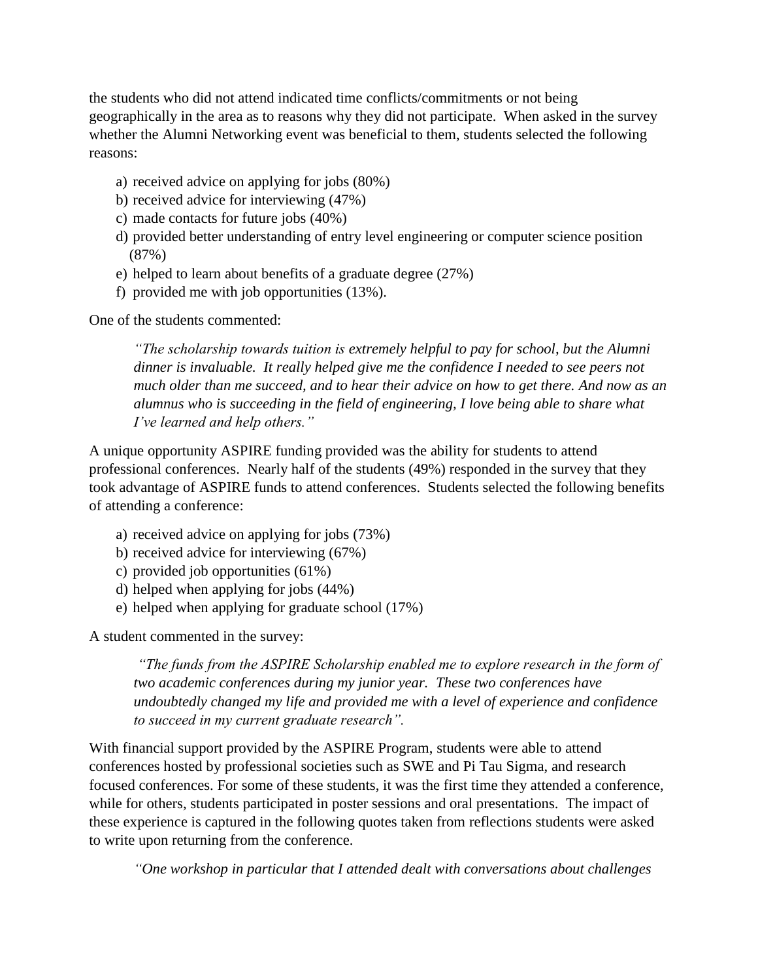the students who did not attend indicated time conflicts/commitments or not being geographically in the area as to reasons why they did not participate. When asked in the survey whether the Alumni Networking event was beneficial to them, students selected the following reasons:

- a) received advice on applying for jobs (80%)
- b) received advice for interviewing (47%)
- c) made contacts for future jobs (40%)
- d) provided better understanding of entry level engineering or computer science position (87%)
- e) helped to learn about benefits of a graduate degree (27%)
- f) provided me with job opportunities (13%).

One of the students commented:

*"The scholarship towards tuition is extremely helpful to pay for school, but the Alumni dinner is invaluable. It really helped give me the confidence I needed to see peers not much older than me succeed, and to hear their advice on how to get there. And now as an alumnus who is succeeding in the field of engineering, I love being able to share what I've learned and help others."*

A unique opportunity ASPIRE funding provided was the ability for students to attend professional conferences. Nearly half of the students (49%) responded in the survey that they took advantage of ASPIRE funds to attend conferences. Students selected the following benefits of attending a conference:

- a) received advice on applying for jobs (73%)
- b) received advice for interviewing (67%)
- c) provided job opportunities (61%)
- d) helped when applying for jobs (44%)
- e) helped when applying for graduate school (17%)

A student commented in the survey:

*"The funds from the ASPIRE Scholarship enabled me to explore research in the form of two academic conferences during my junior year. These two conferences have undoubtedly changed my life and provided me with a level of experience and confidence to succeed in my current graduate research".*

With financial support provided by the ASPIRE Program, students were able to attend conferences hosted by professional societies such as SWE and Pi Tau Sigma, and research focused conferences. For some of these students, it was the first time they attended a conference, while for others, students participated in poster sessions and oral presentations. The impact of these experience is captured in the following quotes taken from reflections students were asked to write upon returning from the conference.

*"One workshop in particular that I attended dealt with conversations about challenges*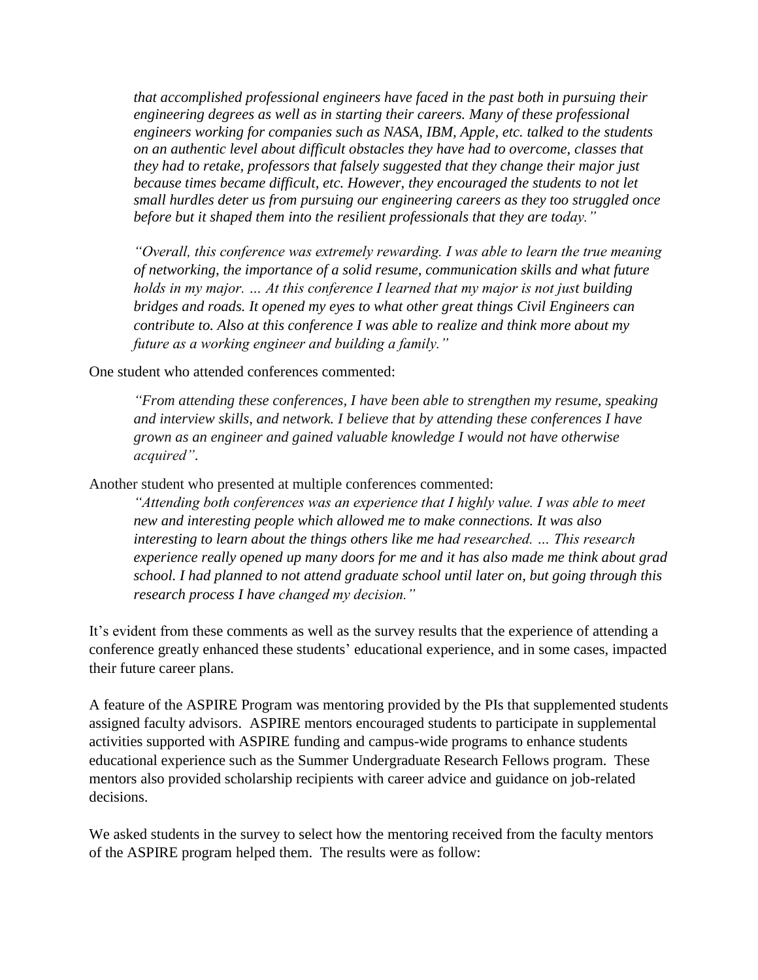*that accomplished professional engineers have faced in the past both in pursuing their engineering degrees as well as in starting their careers. Many of these professional engineers working for companies such as NASA, IBM, Apple, etc. talked to the students on an authentic level about difficult obstacles they have had to overcome, classes that they had to retake, professors that falsely suggested that they change their major just*  because times became difficult, etc. However, they encouraged the students to not let *small hurdles deter us from pursuing our engineering careers as they too struggled once before but it shaped them into the resilient professionals that they are today."* 

*"Overall, this conference was extremely rewarding. I was able to learn the true meaning of networking, the importance of a solid resume, communication skills and what future holds in my major. … At this conference I learned that my major is not just building bridges and roads. It opened my eyes to what other great things Civil Engineers can contribute to. Also at this conference I was able to realize and think more about my future as a working engineer and building a family."*

One student who attended conferences commented:

*"From attending these conferences, I have been able to strengthen my resume, speaking and interview skills, and network. I believe that by attending these conferences I have grown as an engineer and gained valuable knowledge I would not have otherwise acquired"*.

Another student who presented at multiple conferences commented:

*"Attending both conferences was an experience that I highly value. I was able to meet new and interesting people which allowed me to make connections. It was also interesting to learn about the things others like me had researched. … This research experience really opened up many doors for me and it has also made me think about grad school. I had planned to not attend graduate school until later on, but going through this research process I have changed my decision."* 

It's evident from these comments as well as the survey results that the experience of attending a conference greatly enhanced these students' educational experience, and in some cases, impacted their future career plans.

A feature of the ASPIRE Program was mentoring provided by the PIs that supplemented students assigned faculty advisors. ASPIRE mentors encouraged students to participate in supplemental activities supported with ASPIRE funding and campus-wide programs to enhance students educational experience such as the Summer Undergraduate Research Fellows program. These mentors also provided scholarship recipients with career advice and guidance on job-related decisions.

We asked students in the survey to select how the mentoring received from the faculty mentors of the ASPIRE program helped them. The results were as follow: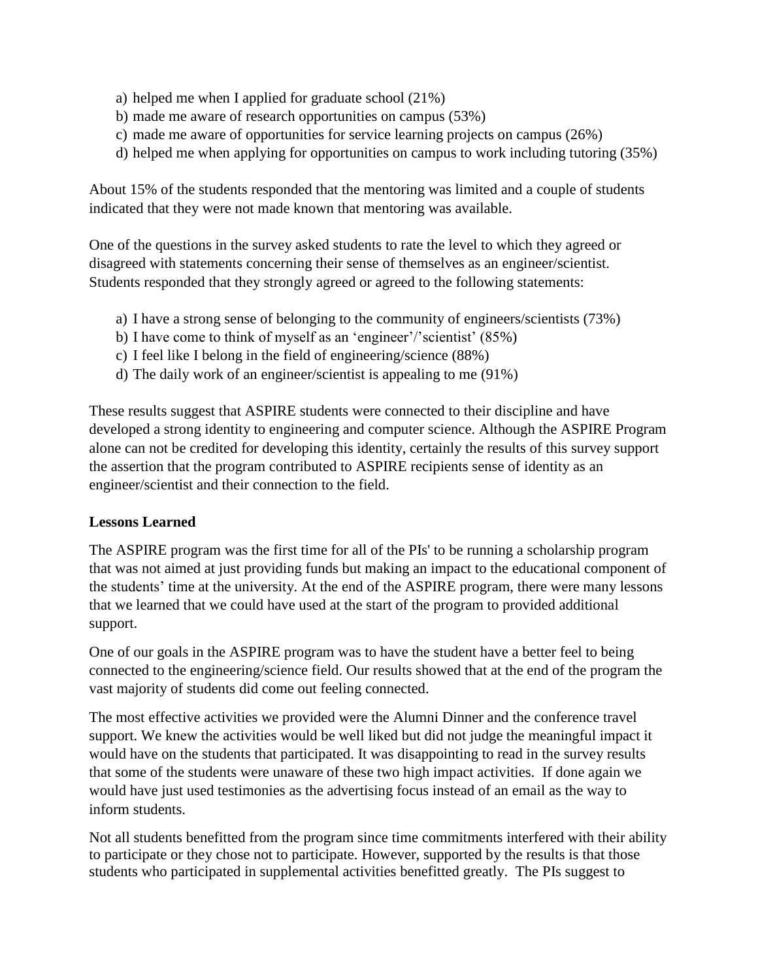- a) helped me when I applied for graduate school (21%)
- b) made me aware of research opportunities on campus (53%)
- c) made me aware of opportunities for service learning projects on campus (26%)
- d) helped me when applying for opportunities on campus to work including tutoring (35%)

About 15% of the students responded that the mentoring was limited and a couple of students indicated that they were not made known that mentoring was available.

One of the questions in the survey asked students to rate the level to which they agreed or disagreed with statements concerning their sense of themselves as an engineer/scientist. Students responded that they strongly agreed or agreed to the following statements:

- a) I have a strong sense of belonging to the community of engineers/scientists (73%)
- b) I have come to think of myself as an 'engineer'/'scientist' (85%)
- c) I feel like I belong in the field of engineering/science (88%)
- d) The daily work of an engineer/scientist is appealing to me (91%)

These results suggest that ASPIRE students were connected to their discipline and have developed a strong identity to engineering and computer science. Although the ASPIRE Program alone can not be credited for developing this identity, certainly the results of this survey support the assertion that the program contributed to ASPIRE recipients sense of identity as an engineer/scientist and their connection to the field.

#### **Lessons Learned**

The ASPIRE program was the first time for all of the PIs' to be running a scholarship program that was not aimed at just providing funds but making an impact to the educational component of the students' time at the university. At the end of the ASPIRE program, there were many lessons that we learned that we could have used at the start of the program to provided additional support.

One of our goals in the ASPIRE program was to have the student have a better feel to being connected to the engineering/science field. Our results showed that at the end of the program the vast majority of students did come out feeling connected.

The most effective activities we provided were the Alumni Dinner and the conference travel support. We knew the activities would be well liked but did not judge the meaningful impact it would have on the students that participated. It was disappointing to read in the survey results that some of the students were unaware of these two high impact activities. If done again we would have just used testimonies as the advertising focus instead of an email as the way to inform students.

Not all students benefitted from the program since time commitments interfered with their ability to participate or they chose not to participate. However, supported by the results is that those students who participated in supplemental activities benefitted greatly. The PIs suggest to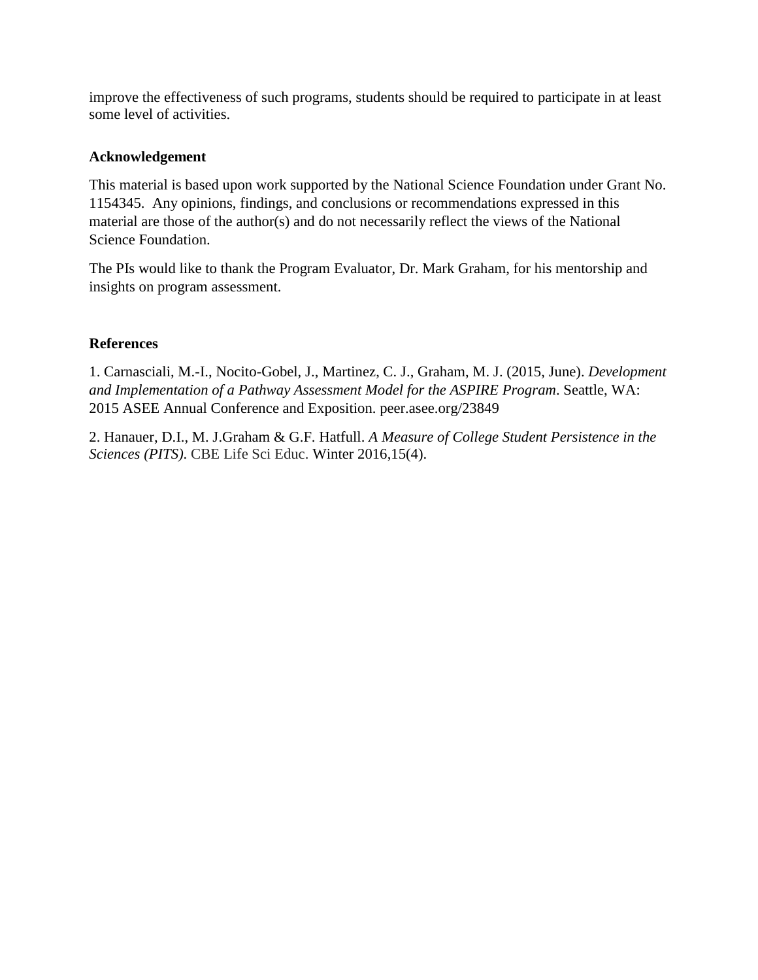improve the effectiveness of such programs, students should be required to participate in at least some level of activities.

# **Acknowledgement**

This material is based upon work supported by the National Science Foundation under Grant No. 1154345. Any opinions, findings, and conclusions or recommendations expressed in this material are those of the author(s) and do not necessarily reflect the views of the National Science Foundation.

The PIs would like to thank the Program Evaluator, Dr. Mark Graham, for his mentorship and insights on program assessment.

# **References**

1. Carnasciali, M.-I., Nocito-Gobel, J., Martinez, C. J., Graham, M. J. (2015, June). *Development and Implementation of a Pathway Assessment Model for the ASPIRE Program*. Seattle, WA: 2015 ASEE Annual Conference and Exposition. peer.asee.org/23849

2. Hanauer, D.I., M. J.Graham & G.F. Hatfull. *A Measure of College Student Persistence in the Sciences (PITS)*. CBE Life Sci Educ. Winter 2016,15(4).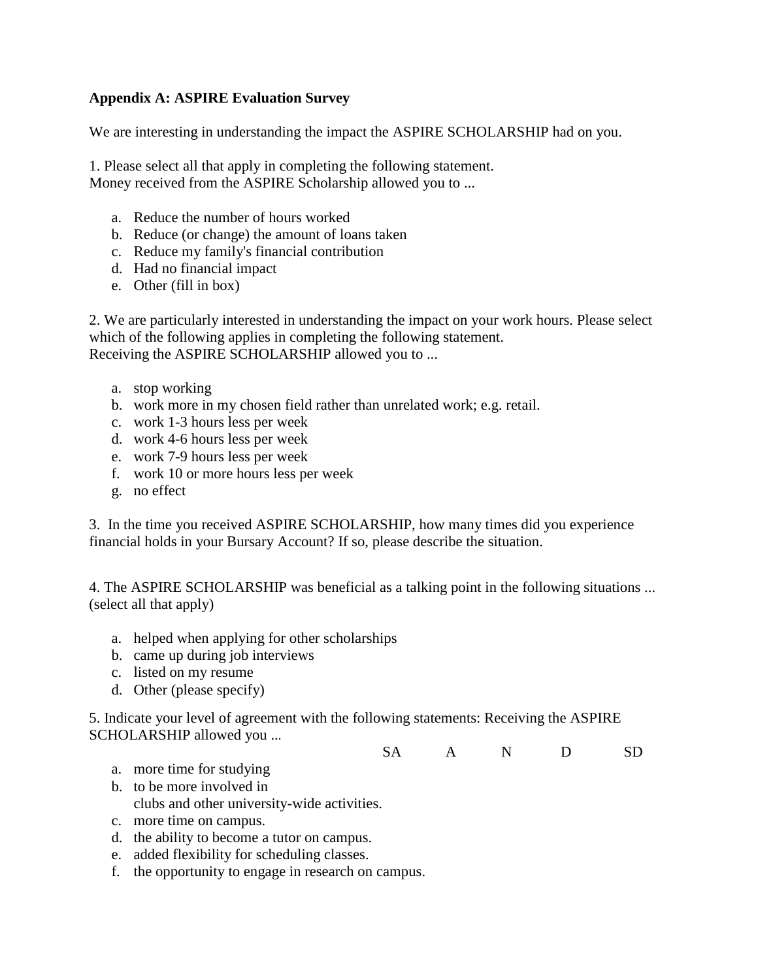#### **Appendix A: ASPIRE Evaluation Survey**

We are interesting in understanding the impact the ASPIRE SCHOLARSHIP had on you.

1. Please select all that apply in completing the following statement. Money received from the ASPIRE Scholarship allowed you to ...

- a. Reduce the number of hours worked
- b. Reduce (or change) the amount of loans taken
- c. Reduce my family's financial contribution
- d. Had no financial impact
- e. Other (fill in box)

2. We are particularly interested in understanding the impact on your work hours. Please select which of the following applies in completing the following statement. Receiving the ASPIRE SCHOLARSHIP allowed you to ...

- a. stop working
- b. work more in my chosen field rather than unrelated work; e.g. retail.
- c. work 1-3 hours less per week
- d. work 4-6 hours less per week
- e. work 7-9 hours less per week
- f. work 10 or more hours less per week
- g. no effect

3. In the time you received ASPIRE SCHOLARSHIP, how many times did you experience financial holds in your Bursary Account? If so, please describe the situation.

4. The ASPIRE SCHOLARSHIP was beneficial as a talking point in the following situations ... (select all that apply)

- a. helped when applying for other scholarships
- b. came up during job interviews
- c. listed on my resume
- d. Other (please specify)

5. Indicate your level of agreement with the following statements: Receiving the ASPIRE SCHOLARSHIP allowed you ...

SA A N D SD

- a. more time for studying
- b. to be more involved in clubs and other university-wide activities.
- c. more time on campus.
- d. the ability to become a tutor on campus.
- e. added flexibility for scheduling classes.
- f. the opportunity to engage in research on campus.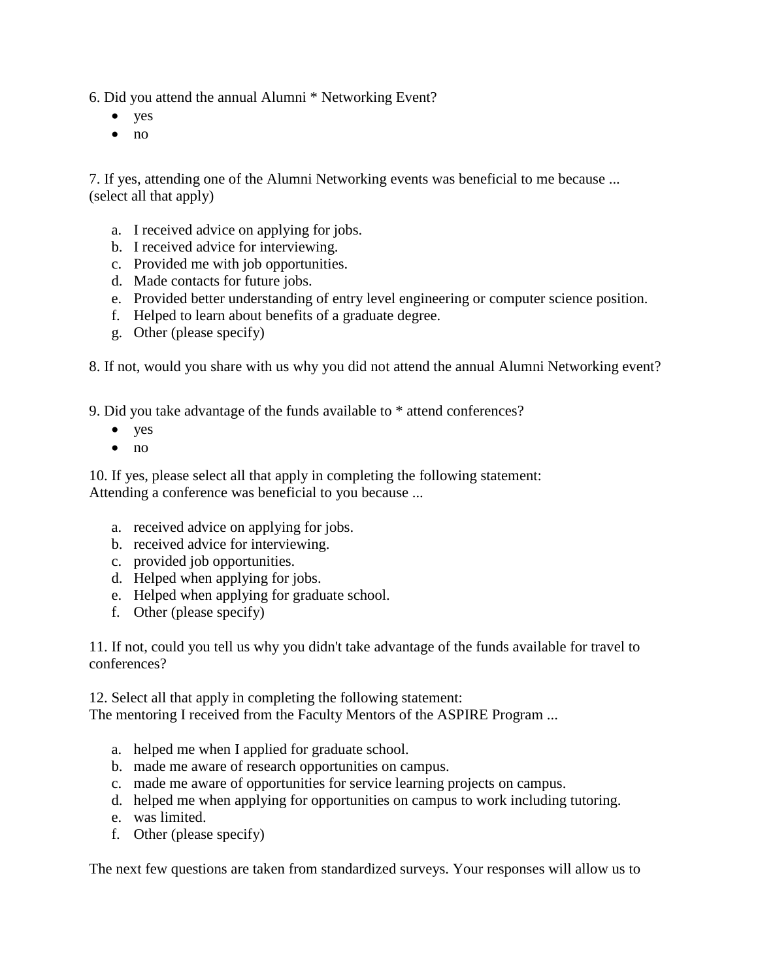6. Did you attend the annual Alumni \* Networking Event?

- yes
- $\bullet$  no

7. If yes, attending one of the Alumni Networking events was beneficial to me because ... (select all that apply)

- a. I received advice on applying for jobs.
- b. I received advice for interviewing.
- c. Provided me with job opportunities.
- d. Made contacts for future jobs.
- e. Provided better understanding of entry level engineering or computer science position.
- f. Helped to learn about benefits of a graduate degree.
- g. Other (please specify)

8. If not, would you share with us why you did not attend the annual Alumni Networking event?

9. Did you take advantage of the funds available to \* attend conferences?

- $\bullet$  yes
- $\bullet$  no

10. If yes, please select all that apply in completing the following statement: Attending a conference was beneficial to you because ...

- a. received advice on applying for jobs.
- b. received advice for interviewing.
- c. provided job opportunities.
- d. Helped when applying for jobs.
- e. Helped when applying for graduate school.
- f. Other (please specify)

11. If not, could you tell us why you didn't take advantage of the funds available for travel to conferences?

12. Select all that apply in completing the following statement:

The mentoring I received from the Faculty Mentors of the ASPIRE Program ...

- a. helped me when I applied for graduate school.
- b. made me aware of research opportunities on campus.
- c. made me aware of opportunities for service learning projects on campus.
- d. helped me when applying for opportunities on campus to work including tutoring.
- e. was limited.
- f. Other (please specify)

The next few questions are taken from standardized surveys. Your responses will allow us to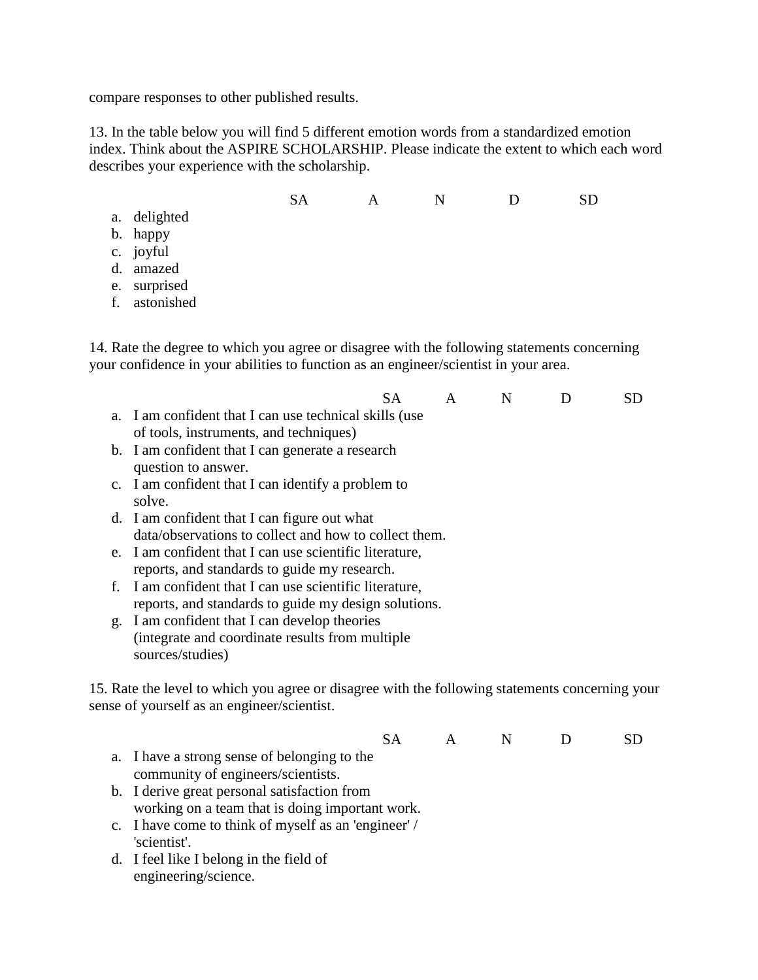compare responses to other published results.

13. In the table below you will find 5 different emotion words from a standardized emotion index. Think about the ASPIRE SCHOLARSHIP. Please indicate the extent to which each word describes your experience with the scholarship.

- SA A N D SD
- a. delighted
- b. happy
- c. joyful
- d. amazed
- e. surprised
- f. astonished

14. Rate the degree to which you agree or disagree with the following statements concerning your confidence in your abilities to function as an engineer/scientist in your area.

|                                                                   | SA. | $\overline{A}$ | N. | SD. |
|-------------------------------------------------------------------|-----|----------------|----|-----|
| a. I am confident that I can use technical skills (use            |     |                |    |     |
| of tools, instruments, and techniques)                            |     |                |    |     |
| b. I am confident that I can generate a research                  |     |                |    |     |
| question to answer.                                               |     |                |    |     |
| $\alpha$ is the set of the set of $\alpha$ in the set of $\alpha$ |     |                |    |     |

- c. I am confident that I can identify a problem to solve.
- d. I am confident that I can figure out what data/observations to collect and how to collect them.
- e. I am confident that I can use scientific literature, reports, and standards to guide my research.
- f. I am confident that I can use scientific literature, reports, and standards to guide my design solutions.
- g. I am confident that I can develop theories (integrate and coordinate results from multiple sources/studies)

15. Rate the level to which you agree or disagree with the following statements concerning your sense of yourself as an engineer/scientist.

- SA A N D SD a. I have a strong sense of belonging to the community of engineers/scientists.
- b. I derive great personal satisfaction from working on a team that is doing important work.
- c. I have come to think of myself as an 'engineer' / 'scientist'.
- d. I feel like I belong in the field of engineering/science.